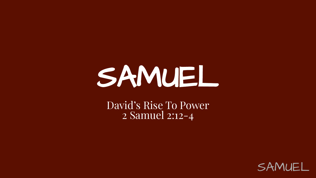## SAMUEL

David's Rise To Power 2 Samuel 2:12-4

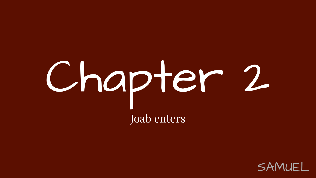# Chapter 2 Joab enters

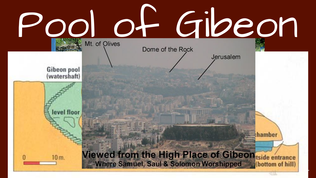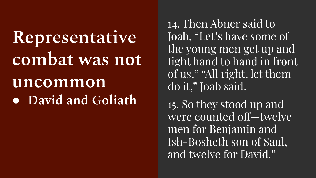**Representative**  combat was not **uncommon** ● **David and Goliath** 

14. Then Abner said to Joab, "Let's have some of the young men get up and fight hand to hand in front of us." "All right, let them do it," Joab said.

15. So they stood up and were counted off—twelve men for Benjamin and Ish-Bosheth son of Saul, and twelve for David."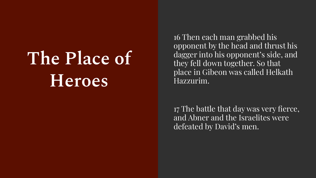## **The Place of Heroes**

16 Then each man grabbed his opponent by the head and thrust his dagger into his opponent's side, and they fell down together. So that place in Gibeon was called Helkath Hazzurim.

17 The battle that day was very fierce, and Abner and the Israelites were defeated by David's men.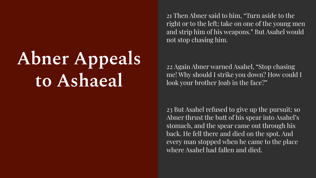## **Abner Appeals to Ashaeal**

21 Then Abner said to him, "Turn aside to the right or to the left; take on one of the young men and strip him of his weapons." But Asahel would not stop chasing him.

22 Again Abner warned Asahel, "Stop chasing me! Why should I strike you down? How could I look your brother Joab in the face?"

23 But Asahel refused to give up the pursuit; so Abner thrust the butt of his spear into Asahel's stomach, and the spear came out through his back. He fell there and died on the spot. And every man stopped when he came to the place where Asahel had fallen and died.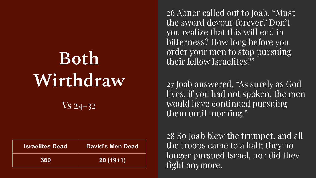## **Both Wirthdraw**

Vs 24-32

| <b>Israelites Dead</b> | David's Men Dead |
|------------------------|------------------|
| 360                    | $20(19+1)$       |

26 Abner called out to Joab, "Must the sword devour forever? Don't you realize that this will end in bitterness? How long before you order your men to stop pursuing their fellow Israelites?"

27 Joab answered, "As surely as God lives, if you had not spoken, the men would have continued pursuing them until morning."

28 So Joab blew the trumpet, and all the troops came to a halt; they no longer pursued Israel, nor did they fight anymore.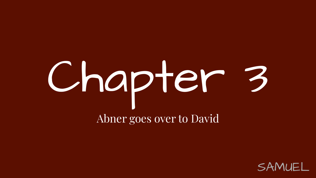## Chapter 3 Abner goes over to David

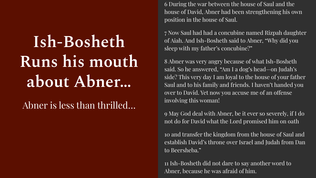## **Ish-Bosheth Runs his mouth about Abner…**

#### Abner is less than thrilled…

6 During the war between the house of Saul and the house of David, Abner had been strengthening his own position in the house of Saul.

7 Now Saul had had a concubine named Rizpah daughter of Aiah. And Ish-Bosheth said to Abner, "Why did you sleep with my father's concubine?"

8 Abner was very angry because of what Ish-Bosheth said. So he answered, "Am I a dog's head—on Judah's side? This very day I am loyal to the house of your father Saul and to his family and friends. I haven't handed you over to David. Yet now you accuse me of an offense involving this woman!

9 May God deal with Abner, be it ever so severely, if I do not do for David what the Lord promised him on oath

10 and transfer the kingdom from the house of Saul and establish David's throne over Israel and Judah from Dan to Beersheba."

11 Ish-Bosheth did not dare to say another word to<br>Abner, because he was afraid of him. Abner, because he was afraid of him.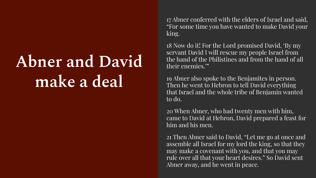## **Abner and David make a deal**

17 Abner conferred with the elders of Israel and said, "For some time you have wanted to make David your king.

18 Now do it! For the Lord promised David, 'By my servant David I will rescue my people Israel from the hand of the Philistines and from the hand of all their enemies.'"

19 Abner also spoke to the Benjamites in person. Then he went to Hebron to tell David everything that Israel and the whole tribe of Benjamin wanted to do.

20 When Abner, who had twenty men with him, came to David at Hebron, David prepared a feast for him and his men.

SAMUEL 21 Then Abner said to David, "Let me go at once and assemble all Israel for my lord the king, so that they may make a covenant with you, and that you may rule over all that your heart desires." So David sent Abner away, and he went in peace.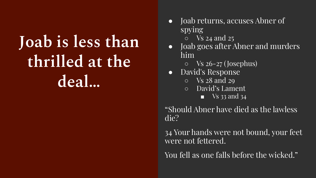### **Joab is less than thrilled at the deal…**

- Joab returns, accuses Abner of spying
	- $\circ$  Vs 24 and 25
- Joab goes after Abner and murders him
	- $\circ$  Vs 26-27 (Josephus)
- David's Response
	- Vs 28 and 29
	- David's Lament
		- $\blacksquare$  Vs 33 and 34

"Should Abner have died as the lawless die?

34 Your hands were not bound, your feet were not fettered.

You fell as one falls before the wicked."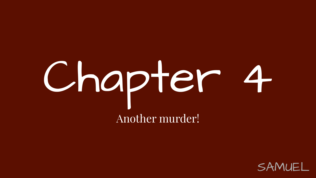# Chapter 4 Another murder!

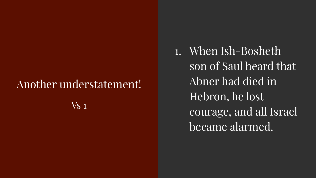#### Another understatement!

 $V<sub>S</sub>$  1

1. When Ish-Bosheth son of Saul heard that Abner had died in Hebron, he lost courage, and all Israel became alarmed.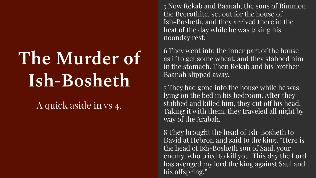## **The Murder of Ish-Bosheth**

A quick aside in vs 4.

5 Now Rekab and Baanah, the sons of Rimmon the Beerothite, set out for the house of Ish-Bosheth, and they arrived there in the heat of the day while he was taking his noonday rest.

6 They went into the inner part of the house as if to get some wheat, and they stabbed him in the stomach. Then Rekab and his brother Baanah slipped away.

7 They had gone into the house while he was lying on the bed in his bedroom. After they stabbed and killed him, they cut off his head. Taking it with them, they traveled all night by way of the Arabah.

has avenged my lord the king against Saul and<br>his offspring." 8 They brought the head of Ish-Bosheth to David at Hebron and said to the king, "Here is the head of Ish-Bosheth son of Saul, your enemy, who tried to kill you. This day the Lord his offspring."